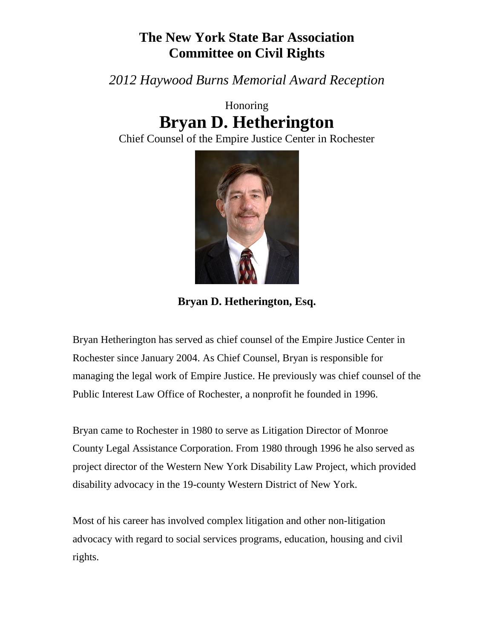## **The New York State Bar Association Committee on Civil Rights**

*2012 Haywood Burns Memorial Award Reception*

## Honoring **Bryan D. Hetherington**

Chief Counsel of the Empire Justice Center in Rochester



**Bryan D. Hetherington, Esq.**

Bryan Hetherington has served as chief counsel of the Empire Justice Center in Rochester since January 2004. As Chief Counsel, Bryan is responsible for managing the legal work of Empire Justice. He previously was chief counsel of the Public Interest Law Office of Rochester, a nonprofit he founded in 1996.

Bryan came to Rochester in 1980 to serve as Litigation Director of Monroe County Legal Assistance Corporation. From 1980 through 1996 he also served as project director of the Western New York Disability Law Project, which provided disability advocacy in the 19-county Western District of New York.

Most of his career has involved complex litigation and other non-litigation advocacy with regard to social services programs, education, housing and civil rights.